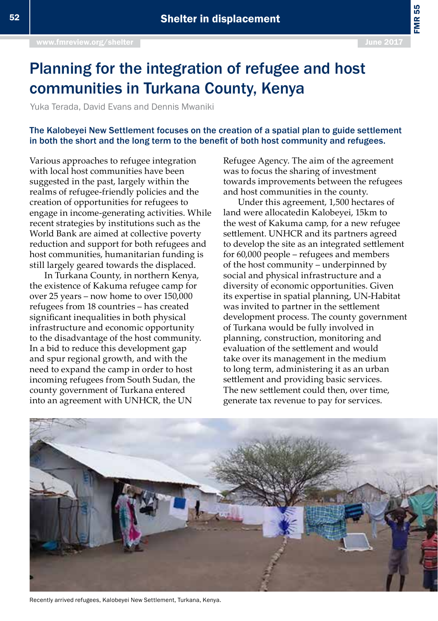FMR 55

## Planning for the integration of refugee and host communities in Turkana County, Kenya

Yuka Terada, David Evans and Dennis Mwaniki

## The Kalobeyei New Settlement focuses on the creation of a spatial plan to guide settlement in both the short and the long term to the benefit of both host community and refugees.

Various approaches to refugee integration with local host communities have been suggested in the past, largely within the realms of refugee-friendly policies and the creation of opportunities for refugees to engage in income-generating activities. While recent strategies by institutions such as the World Bank are aimed at collective poverty reduction and support for both refugees and host communities, humanitarian funding is still largely geared towards the displaced.

In Turkana County, in northern Kenya, the existence of Kakuma refugee camp for over 25 years – now home to over 150,000 refugees from 18 countries – has created significant inequalities in both physical infrastructure and economic opportunity to the disadvantage of the host community. In a bid to reduce this development gap and spur regional growth, and with the need to expand the camp in order to host incoming refugees from South Sudan, the county government of Turkana entered into an agreement with UNHCR, the UN

Refugee Agency. The aim of the agreement was to focus the sharing of investment towards improvements between the refugees and host communities in the county.

Under this agreement, 1,500 hectares of land were allocatedin Kalobeyei, 15km to the west of Kakuma camp, for a new refugee settlement. UNHCR and its partners agreed to develop the site as an integrated settlement for 60,000 people – refugees and members of the host community – underpinned by social and physical infrastructure and a diversity of economic opportunities. Given its expertise in spatial planning, UN-Habitat was invited to partner in the settlement development process. The county government of Turkana would be fully involved in planning, construction, monitoring and evaluation of the settlement and would take over its management in the medium to long term, administering it as an urban settlement and providing basic services. The new settlement could then, over time, generate tax revenue to pay for services.



Recently arrived refugees, Kalobeyei New Settlement, Turkana, Kenya.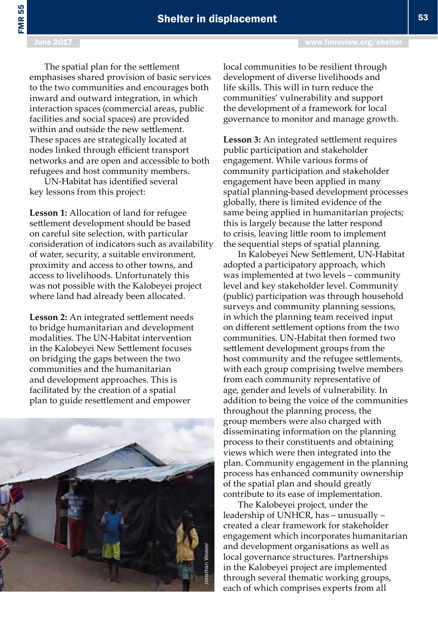FMR 55

June 2017 [www.fmreview.org/shelter](http://www.fmreview.org/dayton20
)

The spatial plan for the settlement emphasises shared provision of basic services to the two communities and encourages both inward and outward integration, in which interaction spaces (commercial areas, public facilities and social spaces) are provided within and outside the new settlement. These spaces are strategically located at nodes linked through efficient transport networks and are open and accessible to both refugees and host community members.

UN-Habitat has identified several key lessons from this project:

**Lesson 1:** Allocation of land for refugee settlement development should be based on careful site selection, with particular consideration of indicators such as availability of water, security, a suitable environment, proximity and access to other towns, and access to livelihoods. Unfortunately this was not possible with the Kalobeyei project where land had already been allocated.

**Lesson 2:** An integrated settlement needs to bridge humanitarian and development modalities. The UN-Habitat intervention in the Kalobeyei New Settlement focuses on bridging the gaps between the two communities and the humanitarian and development approaches. This is facilitated by the creation of a spatial plan to guide resettlement and empower



local communities to be resilient through development of diverse livelihoods and life skills. This will in turn reduce the communities' vulnerability and support the development of a framework for local governance to monitor and manage growth.

**Lesson 3:** An integrated settlement requires public participation and stakeholder engagement. While various forms of community participation and stakeholder engagement have been applied in many spatial planning-based development processes globally, there is limited evidence of the same being applied in humanitarian projects; this is largely because the latter respond to crisis, leaving little room to implement the sequential steps of spatial planning.

In Kalobeyei New Settlement, UN-Habitat adopted a participatory approach, which was implemented at two levels – community level and key stakeholder level. Community (public) participation was through household surveys and community planning sessions, in which the planning team received input on different settlement options from the two communities. UN-Habitat then formed two settlement development groups from the host community and the refugee settlements, with each group comprising twelve members from each community representative of age, gender and levels of vulnerability. In addition to being the voice of the communities throughout the planning process, the group members were also charged with disseminating information on the planning process to their constituents and obtaining views which were then integrated into the plan. Community engagement in the planning process has enhanced community ownership of the spatial plan and should greatly contribute to its ease of implementation.

The Kalobeyei project, under the leadership of UNHCR, has – unusually – created a clear framework for stakeholder engagement which incorporates humanitarian and development organisations as well as local governance structures. Partnerships in the Kalobeyei project are implemented through several thematic working groups, each of which comprises experts from all